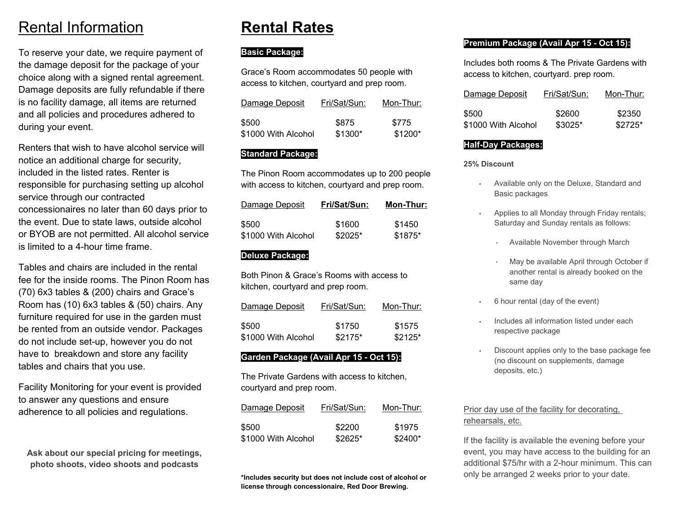## Rental Information

To reserve your date, we require payment of the damage deposit for the package of your choice along with a signed rental agreement. Damage deposits are fully refundable if there is no facility damage, all items are returned and all policies and procedures adhered to during your event.

Renters that wish to have alcohol service will notice an additional charge for security, included in the listed rates. Renter is responsible for purchasing setting up alcohol service through our contracted concessionaires no later than 60 days prior to the event. Due to state laws, outside alcohol or BYOB are not permitted. All alcohol service is limited to a 4-hour time frame.

Tables and chairs are included in the rental fee for the inside rooms. The Pinon Room has(70) 6x3 tables & (200) chairs and Grace's Room has (10) 6x3 tables & (50) chairs. Any furniture required for use in the garden must be rented from an outside vendor. Packages do not include set-up, however you do not have to breakdown and store any facility tables and chairs that you use.

Facility Monitoring for your event is provided to answer any questions and ensure adherence to all policies and regulations.

**Ask about our special pricing for meetings, photo shoots, video shoots and podcasts**

# **Rental Rates**

#### **Basic Package:**

Grace's Room accommodates 50 people with access to kitchen, courtyard and prep room.

| Damage Deposit      | Fri/Sat/Sun: | Mon-Thur: |
|---------------------|--------------|-----------|
| \$500               | \$875        | \$775     |
| \$1000 With Alcohol | \$1300*      | $$1200*$  |

#### **Standard Package:**

The Pinon Room accommodates up to 200 people with access to kitchen, courtyard and prep room.

| Damage Deposit      | Fri/Sat/Sun: | Mon-Thur: |
|---------------------|--------------|-----------|
| \$500               | \$1600       | \$1450    |
| \$1000 With Alcohol | $$2025*$     | $$1875*$  |

#### **Deluxe Package:**

Both Pinon & Grace's Rooms with access to kitchen, courtyard and prep room.

| Damage Deposit      | Fri/Sat/Sun: | Mon-Thur: |
|---------------------|--------------|-----------|
| \$500               | \$1750       | \$1575    |
| \$1000 With Alcohol | $$2175*$     | $$2125*$  |

#### **Garden Package (Avail Apr 15 - Oct 15):**

The Private Gardens with access to kitchen, courtyard and prep room.

| Damage Deposit      | Fri/Sat/Sun: | Mon-Thur: |
|---------------------|--------------|-----------|
| \$500               | \$2200       | \$1975    |
| \$1000 With Alcohol | $$2625*$     | \$2400*   |

**\*Includes security but does not include cost of alcohol or license through concessionaire, Red Door Brewing.**

#### **Premium Package (Avail Apr 15 - Oct 15):**

Includes both rooms & The Private Gardens with access to kitchen, courtyard. prep room.

| Damage Deposit      | Fri/Sat/Sun: | Mon-Thur: |
|---------------------|--------------|-----------|
| \$500               | \$2600       | \$2350    |
| \$1000 With Alcohol | $$3025*$     | $$2725*$  |

#### **Half-Day Packages:**

**25% Discount**

- Available only on the Deluxe, Standard and Basic packages
- Applies to all Monday through Friday rentals; Saturday and Sunday rentals as follows:
	- Available November through March
	- May be available April through October if another rental is already booked on the same day
- 6 hour rental (day of the event)
- Includes all information listed under each respective package
- • Discount applies only to the base package fee (no discount on supplements, damage deposits, etc.)

#### Prior day use of the facility for decorating, rehearsals, etc.

If the facility is available the evening before your event, you may have access to the building for an additional \$75/hr with a 2-hour minimum. This can only be arranged 2 weeks prior to your date.